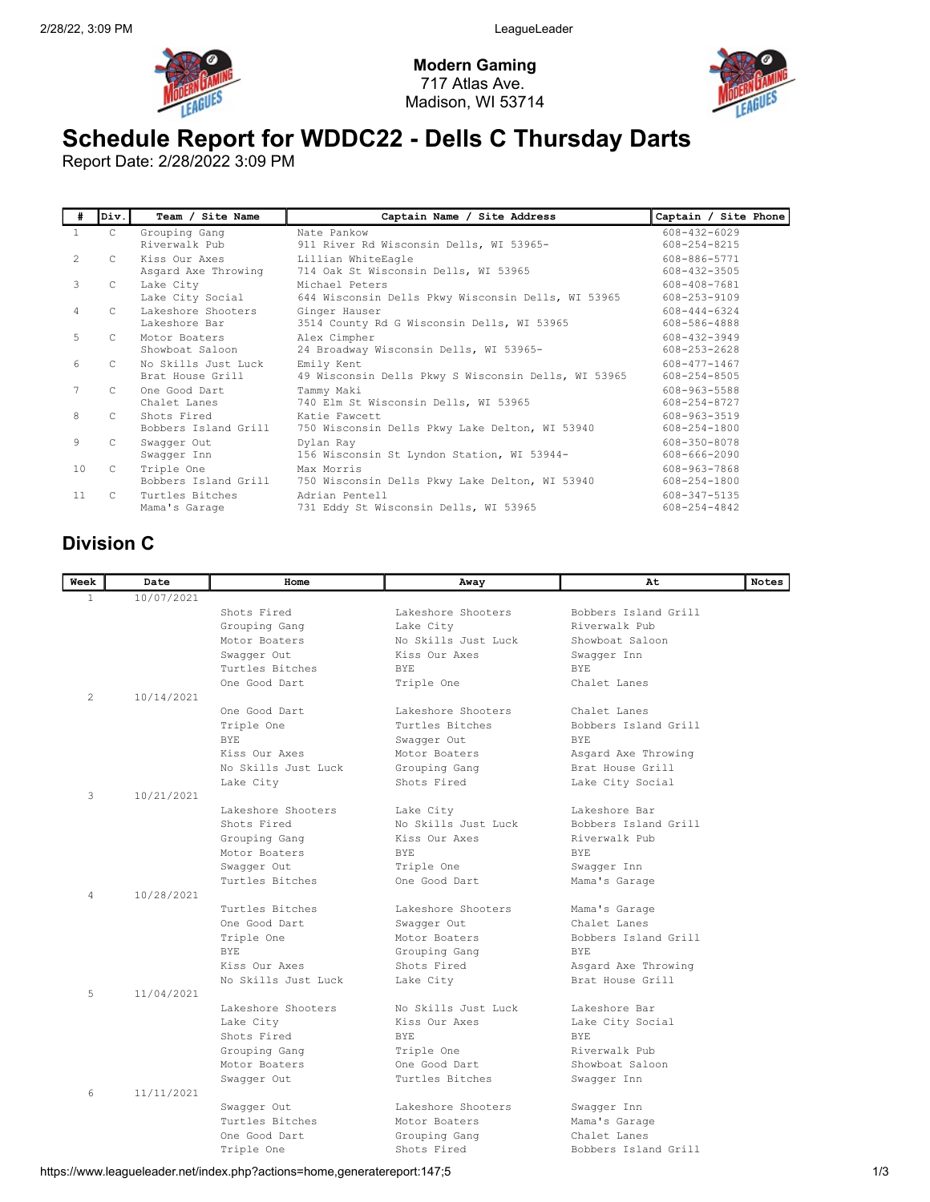

Modern Gaming 717 Atlas Ave. Madison, WI 53714



## Schedule Report for WDDC22 - Dells C Thursday Darts

Report Date: 2/28/2022 3:09 PM

| #              | Div.          | Team / Site Name                        | Captain Name / Site Address                                          | Captain / Site Phone               |
|----------------|---------------|-----------------------------------------|----------------------------------------------------------------------|------------------------------------|
| $\mathbf{1}$   | $\mathsf{C}$  | Grouping Gang<br>Riverwalk Pub          | Nate Pankow<br>911 River Rd Wisconsin Dells, WI 53965-               | $608 - 432 - 6029$<br>608-254-8215 |
| $\overline{2}$ | C.            | Kiss Our Axes<br>Asgard Axe Throwing    | Lillian WhiteEagle<br>714 Oak St Wisconsin Dells, WI 53965           | 608-886-5771<br>608-432-3505       |
| 3              | C.            | Lake City<br>Lake City Social           | Michael Peters<br>644 Wisconsin Dells Pkwy Wisconsin Dells, WI 53965 | 608-408-7681<br>608-253-9109       |
| 4              | $\mathbb{C}$  | Lakeshore Shooters<br>Lakeshore Bar     | Ginger Hauser<br>3514 County Rd G Wisconsin Dells, WI 53965          | 608-444-6324<br>608-586-4888       |
| 5              | C.            | Motor Boaters<br>Showboat Saloon        | Alex Cimpher<br>24 Broadway Wisconsin Dells, WI 53965-               | 608-432-3949<br>608-253-2628       |
| 6              | C.            | No Skills Just Luck<br>Brat House Grill | Emily Kent<br>49 Wisconsin Dells Pkwy S Wisconsin Dells, WI 53965    | 608-477-1467<br>608-254-8505       |
| 7              | $\mathcal{C}$ | One Good Dart<br>Chalet Lanes           | Tammy Maki<br>740 Elm St Wisconsin Dells, WI 53965                   | 608-963-5588<br>608-254-8727       |
| 8              | $\mathcal{C}$ | Shots Fired<br>Bobbers Island Grill     | Katie Fawcett<br>750 Wisconsin Dells Pkwy Lake Delton, WI 53940      | 608-963-3519<br>608-254-1800       |
| 9              | C.            | Swaqqer Out<br>Swaqqer Inn              | Dylan Ray<br>156 Wisconsin St Lyndon Station, WI 53944-              | 608-350-8078<br>608-666-2090       |
| 10             | C             | Triple One<br>Bobbers Island Grill      | Max Morris<br>750 Wisconsin Dells Pkwy Lake Delton, WI 53940         | 608-963-7868<br>608-254-1800       |
| 11             | C.            | Turtles Bitches<br>Mama's Garage        | Adrian Pentell<br>731 Eddy St Wisconsin Dells, WI 53965              | 608-347-5135<br>608-254-4842       |

## Division C

| Week           | Date       | Home                | Away                | At                   | <b>Notes</b> |
|----------------|------------|---------------------|---------------------|----------------------|--------------|
| $\mathbf{1}$   | 10/07/2021 |                     |                     |                      |              |
|                |            | Shots Fired         | Lakeshore Shooters  | Bobbers Island Grill |              |
|                |            | Grouping Gang       | Lake City           | Riverwalk Pub        |              |
|                |            | Motor Boaters       | No Skills Just Luck | Showboat Saloon      |              |
|                |            | Swaqqer Out         | Kiss Our Axes       | Swaqqer Inn          |              |
|                |            | Turtles Bitches     | <b>BYE</b>          | <b>BYE</b>           |              |
|                |            | One Good Dart       | Triple One          | Chalet Lanes         |              |
| 2              | 10/14/2021 |                     |                     |                      |              |
|                |            | One Good Dart       | Lakeshore Shooters  | Chalet Lanes         |              |
|                |            | Triple One          | Turtles Bitches     | Bobbers Island Grill |              |
|                |            | <b>BYE</b>          | Swaqqer Out         | BYE.                 |              |
|                |            | Kiss Our Axes       | Motor Boaters       | Asgard Axe Throwing  |              |
|                |            | No Skills Just Luck | Grouping Gang       | Brat House Grill     |              |
|                |            | Lake City           | Shots Fired         | Lake City Social     |              |
| 3              | 10/21/2021 |                     |                     |                      |              |
|                |            | Lakeshore Shooters  | Lake City           | Lakeshore Bar        |              |
|                |            | Shots Fired         | No Skills Just Luck | Bobbers Island Grill |              |
|                |            | Grouping Gang       | Kiss Our Axes       | Riverwalk Pub        |              |
|                |            | Motor Boaters       | <b>BYE</b>          | <b>BYE</b>           |              |
|                |            | Swaqqer Out         | Triple One          | Swaqqer Inn          |              |
|                |            | Turtles Bitches     | One Good Dart       | Mama's Garage        |              |
| $\overline{4}$ | 10/28/2021 |                     |                     |                      |              |
|                |            | Turtles Bitches     | Lakeshore Shooters  | Mama's Garage        |              |
|                |            | One Good Dart       | Swaqqer Out         | Chalet Lanes         |              |
|                |            | Triple One          | Motor Boaters       | Bobbers Island Grill |              |
|                |            | <b>BYE</b>          | Grouping Gang       | <b>BYE</b>           |              |
|                |            | Kiss Our Axes       | Shots Fired         | Asgard Axe Throwing  |              |
|                |            | No Skills Just Luck | Lake City           | Brat House Grill     |              |
| 5              | 11/04/2021 |                     |                     |                      |              |
|                |            | Lakeshore Shooters  | No Skills Just Luck | Lakeshore Bar        |              |
|                |            | Lake City           | Kiss Our Axes       | Lake City Social     |              |
|                |            | Shots Fired         | <b>BYE</b>          | BYE.                 |              |
|                |            | Grouping Gang       | Triple One          | Riverwalk Pub        |              |
|                |            | Motor Boaters       | One Good Dart       | Showboat Saloon      |              |
|                |            | Swaqqer Out         | Turtles Bitches     | Swagger Inn          |              |
| 6              | 11/11/2021 |                     |                     |                      |              |
|                |            | Swagger Out         | Lakeshore Shooters  | Swagger Inn          |              |
|                |            | Turtles Bitches     | Motor Boaters       | Mama's Garage        |              |
|                |            | One Good Dart       | Grouping Gang       | Chalet Lanes         |              |
|                |            | Triple One          | Shots Fired         | Bobbers Island Grill |              |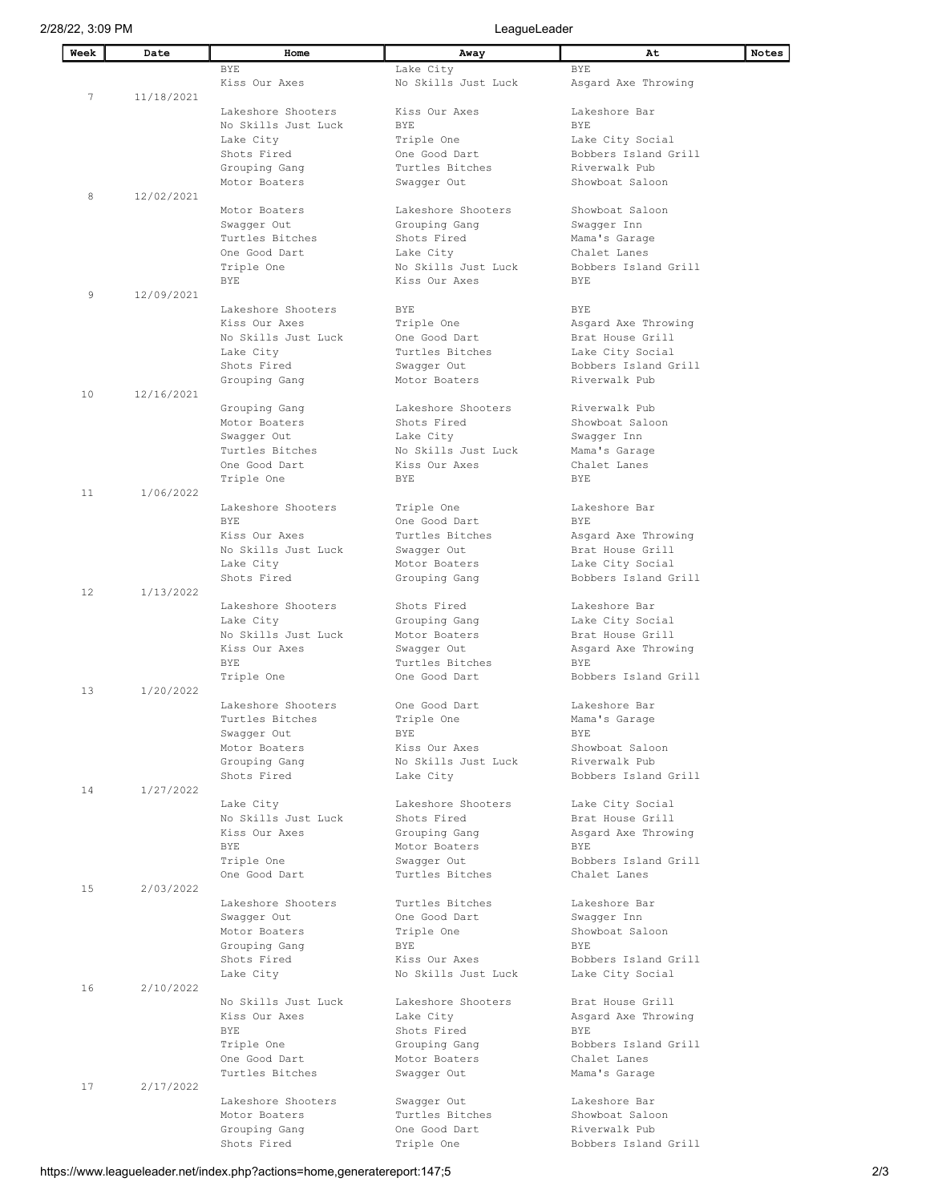| Week | Date       | Home                                  | Away                           | At<br>Notes                              |
|------|------------|---------------------------------------|--------------------------------|------------------------------------------|
|      |            | <b>BYE</b>                            | Lake City                      | <b>BYE</b>                               |
|      |            | Kiss Our Axes                         | No Skills Just Luck            | Asgard Axe Throwing                      |
| 7    | 11/18/2021 |                                       |                                |                                          |
|      |            | Lakeshore Shooters                    | Kiss Our Axes                  | Lakeshore Bar                            |
|      |            | No Skills Just Luck                   | <b>BYE</b>                     | BYE.                                     |
|      |            | Lake City                             | Triple One                     | Lake City Social                         |
|      |            | Shots Fired                           | One Good Dart                  | Bobbers Island Grill                     |
|      |            | Grouping Gang                         | Turtles Bitches                | Riverwalk Pub                            |
|      |            | Motor Boaters                         | Swagger Out                    | Showboat Saloon                          |
| 8    | 12/02/2021 | Motor Boaters                         | Lakeshore Shooters             | Showboat Saloon                          |
|      |            | Swaqqer Out                           | Grouping Gang                  | Swagger Inn                              |
|      |            | Turtles Bitches                       | Shots Fired                    | Mama's Garage                            |
|      |            | One Good Dart                         | Lake City                      | Chalet Lanes                             |
|      |            | Triple One                            | No Skills Just Luck            | Bobbers Island Grill                     |
|      |            | <b>BYE</b>                            | Kiss Our Axes                  | <b>BYE</b>                               |
| 9    | 12/09/2021 |                                       |                                |                                          |
|      |            | Lakeshore Shooters                    | <b>BYE</b>                     | <b>BYE</b>                               |
|      |            | Kiss Our Axes                         | Triple One                     | Asgard Axe Throwing                      |
|      |            | No Skills Just Luck                   | One Good Dart                  | Brat House Grill                         |
|      |            | Lake City                             | Turtles Bitches                | Lake City Social<br>Bobbers Island Grill |
|      |            | Shots Fired<br>Grouping Gang          | Swaqqer Out<br>Motor Boaters   | Riverwalk Pub                            |
| 10   | 12/16/2021 |                                       |                                |                                          |
|      |            | Grouping Gang                         | Lakeshore Shooters             | Riverwalk Pub                            |
|      |            | Motor Boaters                         | Shots Fired                    | Showboat Saloon                          |
|      |            | Swagger Out                           | Lake City                      | Swaqqer Inn                              |
|      |            | Turtles Bitches                       | No Skills Just Luck            | Mama's Garage                            |
|      |            | One Good Dart                         | Kiss Our Axes                  | Chalet Lanes                             |
|      |            | Triple One                            | <b>BYE</b>                     | <b>BYE</b>                               |
| 11   | 1/06/2022  |                                       |                                |                                          |
|      |            | Lakeshore Shooters                    | Triple One                     | Lakeshore Bar                            |
|      |            | <b>BYE</b>                            | One Good Dart                  | <b>BYE</b>                               |
|      |            | Kiss Our Axes                         | Turtles Bitches                | Asgard Axe Throwing                      |
|      |            | No Skills Just Luck                   | Swaqqer Out                    | Brat House Grill<br>Lake City Social     |
|      |            | Lake City<br>Shots Fired              | Motor Boaters<br>Grouping Gang | Bobbers Island Grill                     |
| 12   | 1/13/2022  |                                       |                                |                                          |
|      |            | Lakeshore Shooters                    | Shots Fired                    | Lakeshore Bar                            |
|      |            | Lake City                             | Grouping Gang                  | Lake City Social                         |
|      |            | No Skills Just Luck                   | Motor Boaters                  | Brat House Grill                         |
|      |            | Kiss Our Axes                         | Swaqqer Out                    | Asgard Axe Throwing                      |
|      |            | BYE                                   | Turtles Bitches                | <b>BYE</b>                               |
|      |            | Triple One                            | One Good Dart                  | Bobbers Island Grill                     |
| 13   | 1/20/2022  |                                       |                                |                                          |
|      |            | Lakeshore Shooters<br>Turtles Bitches | One Good Dart<br>Triple One    | Lakeshore Bar<br>Mama's Garage           |
|      |            | Swaqqer Out                           | BYE                            | BYE                                      |
|      |            | Motor Boaters                         | Kiss Our Axes                  | Showboat Saloon                          |
|      |            | Grouping Gang                         | No Skills Just Luck            | Riverwalk Pub                            |
|      |            | Shots Fired                           | Lake City                      | Bobbers Island Grill                     |
| 14   | 1/27/2022  |                                       |                                |                                          |
|      |            | Lake City                             | Lakeshore Shooters             | Lake City Social                         |
|      |            | No Skills Just Luck                   | Shots Fired                    | Brat House Grill                         |
|      |            | Kiss Our Axes                         | Grouping Gang                  | Asqard Axe Throwing                      |
|      |            | <b>BYE</b>                            | Motor Boaters                  | <b>BYE</b><br>Bobbers Island Grill       |
|      |            | Triple One<br>One Good Dart           | Swagger Out<br>Turtles Bitches | Chalet Lanes                             |
| 15   | 2/03/2022  |                                       |                                |                                          |
|      |            | Lakeshore Shooters                    | Turtles Bitches                | Lakeshore Bar                            |
|      |            | Swagger Out                           | One Good Dart                  | Swagger Inn                              |
|      |            | Motor Boaters                         | Triple One                     | Showboat Saloon                          |
|      |            | Grouping Gang                         | BYE                            | <b>BYE</b>                               |
|      |            | Shots Fired                           | Kiss Our Axes                  | Bobbers Island Grill                     |
|      |            | Lake City                             | No Skills Just Luck            | Lake City Social                         |
| 16   | 2/10/2022  |                                       |                                |                                          |
|      |            | No Skills Just Luck                   | Lakeshore Shooters             | Brat House Grill                         |
|      |            | Kiss Our Axes<br>BYE                  | Lake City<br>Shots Fired       | Asgard Axe Throwing<br><b>BYE</b>        |
|      |            | Triple One                            | Grouping Gang                  | Bobbers Island Grill                     |
|      |            | One Good Dart                         | Motor Boaters                  | Chalet Lanes                             |
|      |            | Turtles Bitches                       | Swagger Out                    | Mama's Garage                            |
| 17   | 2/17/2022  |                                       |                                |                                          |
|      |            | Lakeshore Shooters                    | Swagger Out                    | Lakeshore Bar                            |
|      |            | Motor Boaters                         | Turtles Bitches                | Showboat Saloon                          |
|      |            | Grouping Gang                         | One Good Dart                  | Riverwalk Pub                            |
|      |            | Shots Fired                           | Triple One                     | Bobbers Island Grill                     |